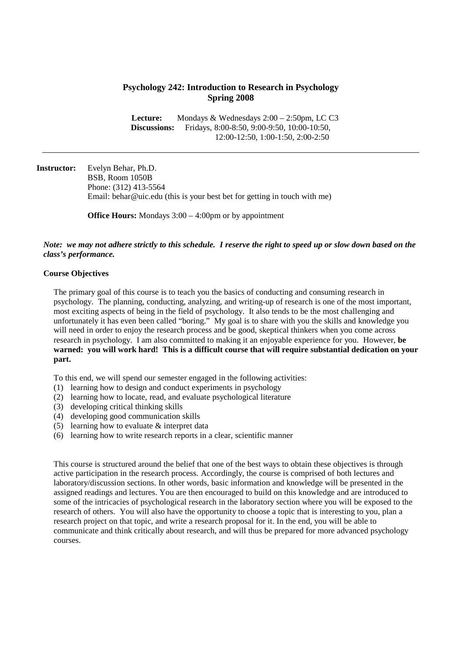# **Psychology 242: Introduction to Research in Psychology Spring 2008**

 **Lecture:** Mondays & Wednesdays 2:00 – 2:50pm, LC C3 **Discussions:** Fridays, 8:00-8:50, 9:00-9:50, 10:00-10:50, 12:00-12:50, 1:00-1:50, 2:00-2:50

**Instructor:** Evelyn Behar, Ph.D. BSB, Room 1050B Phone: (312) 413-5564 Email: behar@uic.edu (this is your best bet for getting in touch with me)

**Office Hours:** Mondays 3:00 – 4:00pm or by appointment

### *Note: we may not adhere strictly to this schedule. I reserve the right to speed up or slow down based on the class's performance.*

### **Course Objectives**

 The primary goal of this course is to teach you the basics of conducting and consuming research in psychology. The planning, conducting, analyzing, and writing-up of research is one of the most important, most exciting aspects of being in the field of psychology. It also tends to be the most challenging and unfortunately it has even been called "boring." My goal is to share with you the skills and knowledge you will need in order to enjoy the research process and be good, skeptical thinkers when you come across research in psychology. I am also committed to making it an enjoyable experience for you. However, **be warned: you will work hard! This is a difficult course that will require substantial dedication on your part.**

To this end, we will spend our semester engaged in the following activities:

- (1) learning how to design and conduct experiments in psychology
- (2) learning how to locate, read, and evaluate psychological literature
- (3) developing critical thinking skills
- (4) developing good communication skills
- (5) learning how to evaluate & interpret data
- (6) learning how to write research reports in a clear, scientific manner

This course is structured around the belief that one of the best ways to obtain these objectives is through active participation in the research process. Accordingly, the course is comprised of both lectures and laboratory/discussion sections. In other words, basic information and knowledge will be presented in the assigned readings and lectures. You are then encouraged to build on this knowledge and are introduced to some of the intricacies of psychological research in the laboratory section where you will be exposed to the research of others. You will also have the opportunity to choose a topic that is interesting to you, plan a research project on that topic, and write a research proposal for it. In the end, you will be able to communicate and think critically about research, and will thus be prepared for more advanced psychology courses.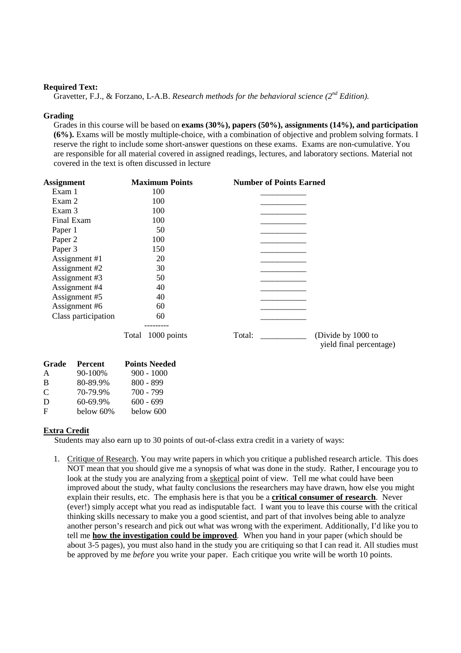#### **Required Text:**

Gravetter, F.J., & Forzano, L-A.B. *Research methods for the behavioral science (2<sup>nd</sup> Edition).* 

#### **Grading**

Grades in this course will be based on **exams (30%), papers (50%), assignments (14%), and participation (6%).** Exams will be mostly multiple-choice, with a combination of objective and problem solving formats. I reserve the right to include some short-answer questions on these exams. Exams are non-cumulative. You are responsible for all material covered in assigned readings, lectures, and laboratory sections. Material not covered in the text is often discussed in lecture

| <b>Assignment</b>       | <b>Maximum Points</b> | <b>Number of Points Earned</b>                          |
|-------------------------|-----------------------|---------------------------------------------------------|
| Exam 1                  | 100                   |                                                         |
| Exam 2                  | 100                   |                                                         |
| Exam 3                  | 100                   |                                                         |
| Final Exam              | 100                   |                                                         |
| Paper 1                 | 50                    |                                                         |
| Paper 2                 | 100                   |                                                         |
| Paper 3                 | 150                   |                                                         |
| Assignment #1           | 20                    |                                                         |
| Assignment #2           | 30                    |                                                         |
| Assignment #3           | 50                    |                                                         |
| Assignment #4           | 40                    |                                                         |
| Assignment #5           | 40                    |                                                         |
| Assignment #6           | 60                    |                                                         |
| Class participation     | 60                    |                                                         |
|                         | Total 1000 points     | Total:<br>(Divide by 1000 to<br>yield final percentage) |
| Grade<br><b>Percent</b> | <b>Points Needed</b>  |                                                         |
| 90-100%<br>A            | $900 - 1000$          |                                                         |
| B<br>80-89.9%           | $800 - 899$           |                                                         |

#### **Extra Credit**

C  $70-79.9\%$   $700-799$ D 60-69.9% 600 - 699 F below 60% below 600

Students may also earn up to 30 points of out-of-class extra credit in a variety of ways:

1. Critique of Research. You may write papers in which you critique a published research article. This does NOT mean that you should give me a synopsis of what was done in the study. Rather, I encourage you to look at the study you are analyzing from a skeptical point of view. Tell me what could have been improved about the study, what faulty conclusions the researchers may have drawn, how else you might explain their results, etc. The emphasis here is that you be a **critical consumer of research**. Never (ever!) simply accept what you read as indisputable fact. I want you to leave this course with the critical thinking skills necessary to make you a good scientist, and part of that involves being able to analyze another person's research and pick out what was wrong with the experiment. Additionally, I'd like you to tell me **how the investigation could be improved**. When you hand in your paper (which should be about 3-5 pages), you must also hand in the study you are critiquing so that I can read it. All studies must be approved by me *before* you write your paper. Each critique you write will be worth 10 points.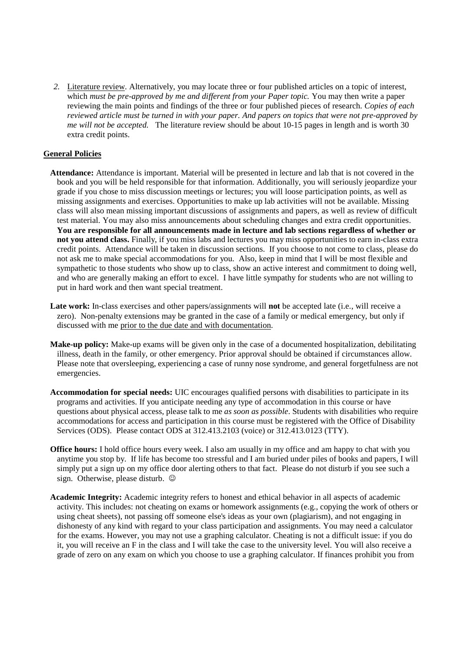*2.* Literature review. Alternatively, you may locate three or four published articles on a topic of interest, which *must be pre-approved by me and different from your Paper topic.* You may then write a paper reviewing the main points and findings of the three or four published pieces of research. *Copies of each reviewed article must be turned in with your paper. And papers on topics that were not pre-approved by me will not be accepted.* The literature review should be about 10-15 pages in length and is worth 30 extra credit points.

## **General Policies**

- **Attendance:** Attendance is important. Material will be presented in lecture and lab that is not covered in the book and you will be held responsible for that information. Additionally, you will seriously jeopardize your grade if you chose to miss discussion meetings or lectures; you will loose participation points, as well as missing assignments and exercises. Opportunities to make up lab activities will not be available. Missing class will also mean missing important discussions of assignments and papers, as well as review of difficult test material. You may also miss announcements about scheduling changes and extra credit opportunities. **You are responsible for all announcements made in lecture and lab sections regardless of whether or not you attend class.** Finally, if you miss labs and lectures you may miss opportunities to earn in-class extra credit points. Attendance will be taken in discussion sections. If you choose to not come to class, please do not ask me to make special accommodations for you. Also, keep in mind that I will be most flexible and sympathetic to those students who show up to class, show an active interest and commitment to doing well, and who are generally making an effort to excel. I have little sympathy for students who are not willing to put in hard work and then want special treatment.
- **Late work:** In-class exercises and other papers/assignments will **not** be accepted late (i.e., will receive a zero). Non-penalty extensions may be granted in the case of a family or medical emergency, but only if discussed with me prior to the due date and with documentation.
- **Make-up policy:** Make-up exams will be given only in the case of a documented hospitalization, debilitating illness, death in the family, or other emergency. Prior approval should be obtained if circumstances allow. Please note that oversleeping, experiencing a case of runny nose syndrome, and general forgetfulness are not emergencies.
- **Accommodation for special needs:** UIC encourages qualified persons with disabilities to participate in its programs and activities. If you anticipate needing any type of accommodation in this course or have questions about physical access, please talk to me *as soon as possible*. Students with disabilities who require accommodations for access and participation in this course must be registered with the Office of Disability Services (ODS). Please contact ODS at 312.413.2103 (voice) or 312.413.0123 (TTY).
- **Office hours:** I hold office hours every week. I also am usually in my office and am happy to chat with you anytime you stop by. If life has become too stressful and I am buried under piles of books and papers, I will simply put a sign up on my office door alerting others to that fact. Please do not disturb if you see such a sign. Otherwise, please disturb.  $\odot$
- **Academic Integrity:** Academic integrity refers to honest and ethical behavior in all aspects of academic activity. This includes: not cheating on exams or homework assignments (e.g., copying the work of others or using cheat sheets), not passing off someone else's ideas as your own (plagiarism), and not engaging in dishonesty of any kind with regard to your class participation and assignments. You may need a calculator for the exams. However, you may not use a graphing calculator. Cheating is not a difficult issue: if you do it, you will receive an F in the class and I will take the case to the university level. You will also receive a grade of zero on any exam on which you choose to use a graphing calculator. If finances prohibit you from